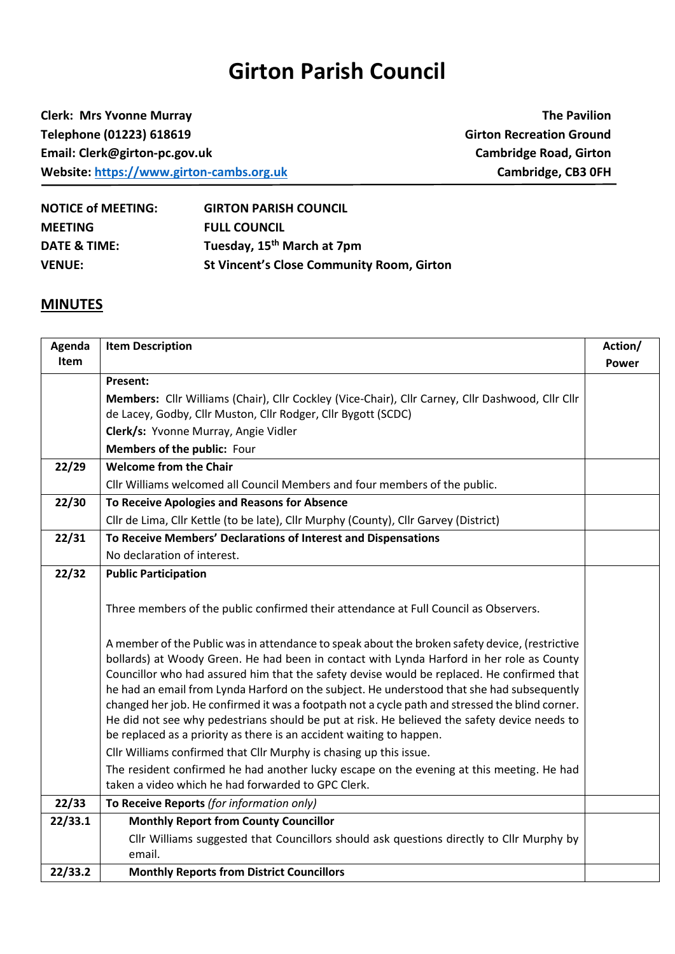## **Girton Parish Council**

**Clerk: Mrs Yvonne Murray The Pavilion Telephone (01223) 618619 Girton Recreation Ground Email: Clerk@girton-pc.gov.uk Cambridge Road, Girton Website:** [https://www.girton-cambs.org.uk](https://www.girton-cambs.org.uk/) **Cambridge, CB3 0FH** 

| <b>NOTICE of MEETING:</b> | <b>GIRTON PARISH COUNCIL</b>                     |
|---------------------------|--------------------------------------------------|
| <b>MEETING</b>            | <b>FULL COUNCIL</b>                              |
| DATE & TIME:              | Tuesday, 15 <sup>th</sup> March at 7pm           |
| <b>VENUE:</b>             | <b>St Vincent's Close Community Room, Girton</b> |

## **MINUTES**

| Agenda      | <b>Item Description</b>                                                                                                                                                                                                                                                                                                                                                                                                                                                                                                                                                                                                                                            | Action/      |
|-------------|--------------------------------------------------------------------------------------------------------------------------------------------------------------------------------------------------------------------------------------------------------------------------------------------------------------------------------------------------------------------------------------------------------------------------------------------------------------------------------------------------------------------------------------------------------------------------------------------------------------------------------------------------------------------|--------------|
| <b>Item</b> |                                                                                                                                                                                                                                                                                                                                                                                                                                                                                                                                                                                                                                                                    | <b>Power</b> |
|             | <b>Present:</b>                                                                                                                                                                                                                                                                                                                                                                                                                                                                                                                                                                                                                                                    |              |
|             | Members: Cllr Williams (Chair), Cllr Cockley (Vice-Chair), Cllr Carney, Cllr Dashwood, Cllr Cllr                                                                                                                                                                                                                                                                                                                                                                                                                                                                                                                                                                   |              |
|             | de Lacey, Godby, Cllr Muston, Cllr Rodger, Cllr Bygott (SCDC)                                                                                                                                                                                                                                                                                                                                                                                                                                                                                                                                                                                                      |              |
|             | Clerk/s: Yvonne Murray, Angie Vidler                                                                                                                                                                                                                                                                                                                                                                                                                                                                                                                                                                                                                               |              |
|             | Members of the public: Four                                                                                                                                                                                                                                                                                                                                                                                                                                                                                                                                                                                                                                        |              |
| 22/29       | <b>Welcome from the Chair</b>                                                                                                                                                                                                                                                                                                                                                                                                                                                                                                                                                                                                                                      |              |
|             | Cllr Williams welcomed all Council Members and four members of the public.                                                                                                                                                                                                                                                                                                                                                                                                                                                                                                                                                                                         |              |
| 22/30       | To Receive Apologies and Reasons for Absence                                                                                                                                                                                                                                                                                                                                                                                                                                                                                                                                                                                                                       |              |
|             | Cllr de Lima, Cllr Kettle (to be late), Cllr Murphy (County), Cllr Garvey (District)                                                                                                                                                                                                                                                                                                                                                                                                                                                                                                                                                                               |              |
| 22/31       | To Receive Members' Declarations of Interest and Dispensations                                                                                                                                                                                                                                                                                                                                                                                                                                                                                                                                                                                                     |              |
|             | No declaration of interest.                                                                                                                                                                                                                                                                                                                                                                                                                                                                                                                                                                                                                                        |              |
| 22/32       | <b>Public Participation</b>                                                                                                                                                                                                                                                                                                                                                                                                                                                                                                                                                                                                                                        |              |
|             | Three members of the public confirmed their attendance at Full Council as Observers.                                                                                                                                                                                                                                                                                                                                                                                                                                                                                                                                                                               |              |
|             | A member of the Public was in attendance to speak about the broken safety device, (restrictive<br>bollards) at Woody Green. He had been in contact with Lynda Harford in her role as County<br>Councillor who had assured him that the safety devise would be replaced. He confirmed that<br>he had an email from Lynda Harford on the subject. He understood that she had subsequently<br>changed her job. He confirmed it was a footpath not a cycle path and stressed the blind corner.<br>He did not see why pedestrians should be put at risk. He believed the safety device needs to<br>be replaced as a priority as there is an accident waiting to happen. |              |
|             | Cllr Williams confirmed that Cllr Murphy is chasing up this issue.                                                                                                                                                                                                                                                                                                                                                                                                                                                                                                                                                                                                 |              |
|             | The resident confirmed he had another lucky escape on the evening at this meeting. He had<br>taken a video which he had forwarded to GPC Clerk.                                                                                                                                                                                                                                                                                                                                                                                                                                                                                                                    |              |
| 22/33       | To Receive Reports (for information only)                                                                                                                                                                                                                                                                                                                                                                                                                                                                                                                                                                                                                          |              |
| 22/33.1     | <b>Monthly Report from County Councillor</b>                                                                                                                                                                                                                                                                                                                                                                                                                                                                                                                                                                                                                       |              |
|             | Cllr Williams suggested that Councillors should ask questions directly to Cllr Murphy by                                                                                                                                                                                                                                                                                                                                                                                                                                                                                                                                                                           |              |
|             | email.                                                                                                                                                                                                                                                                                                                                                                                                                                                                                                                                                                                                                                                             |              |
| 22/33.2     | <b>Monthly Reports from District Councillors</b>                                                                                                                                                                                                                                                                                                                                                                                                                                                                                                                                                                                                                   |              |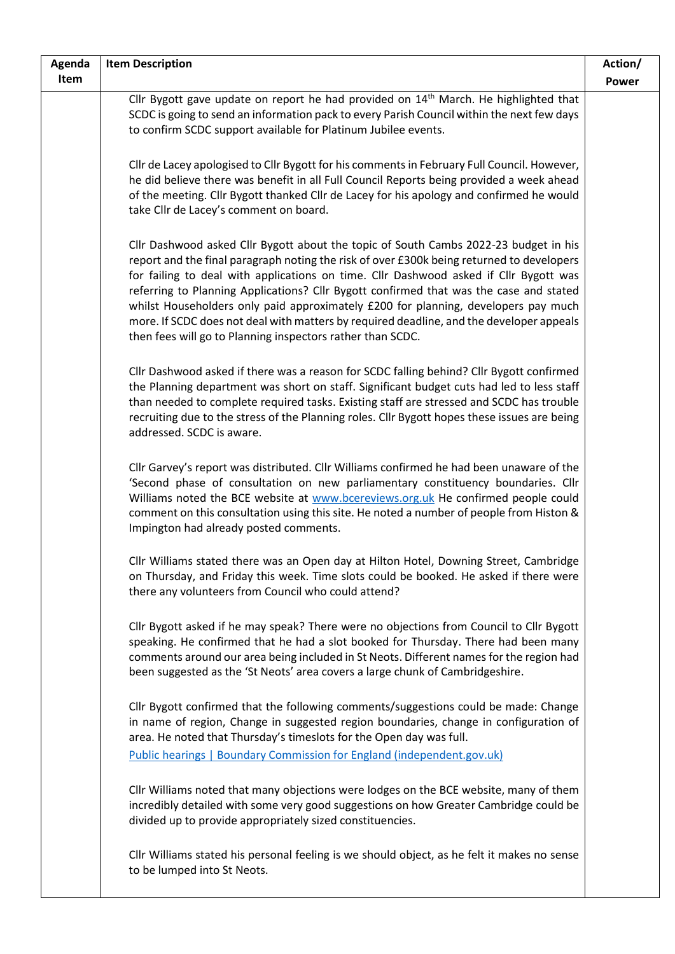| Agenda | <b>Item Description</b>                                                                                                                                                                                                                                                                                                                                                                                                                                                                                                                                                                                              | Action/      |
|--------|----------------------------------------------------------------------------------------------------------------------------------------------------------------------------------------------------------------------------------------------------------------------------------------------------------------------------------------------------------------------------------------------------------------------------------------------------------------------------------------------------------------------------------------------------------------------------------------------------------------------|--------------|
| Item   |                                                                                                                                                                                                                                                                                                                                                                                                                                                                                                                                                                                                                      | <b>Power</b> |
|        | Cllr Bygott gave update on report he had provided on 14 <sup>th</sup> March. He highlighted that<br>SCDC is going to send an information pack to every Parish Council within the next few days<br>to confirm SCDC support available for Platinum Jubilee events.                                                                                                                                                                                                                                                                                                                                                     |              |
|        | Cllr de Lacey apologised to Cllr Bygott for his comments in February Full Council. However,<br>he did believe there was benefit in all Full Council Reports being provided a week ahead<br>of the meeting. Cllr Bygott thanked Cllr de Lacey for his apology and confirmed he would<br>take Cllr de Lacey's comment on board.                                                                                                                                                                                                                                                                                        |              |
|        | Cllr Dashwood asked Cllr Bygott about the topic of South Cambs 2022-23 budget in his<br>report and the final paragraph noting the risk of over £300k being returned to developers<br>for failing to deal with applications on time. Cllr Dashwood asked if Cllr Bygott was<br>referring to Planning Applications? Cllr Bygott confirmed that was the case and stated<br>whilst Householders only paid approximately £200 for planning, developers pay much<br>more. If SCDC does not deal with matters by required deadline, and the developer appeals<br>then fees will go to Planning inspectors rather than SCDC. |              |
|        | Cllr Dashwood asked if there was a reason for SCDC falling behind? Cllr Bygott confirmed<br>the Planning department was short on staff. Significant budget cuts had led to less staff<br>than needed to complete required tasks. Existing staff are stressed and SCDC has trouble<br>recruiting due to the stress of the Planning roles. Cllr Bygott hopes these issues are being<br>addressed. SCDC is aware.                                                                                                                                                                                                       |              |
|        | Cllr Garvey's report was distributed. Cllr Williams confirmed he had been unaware of the<br>'Second phase of consultation on new parliamentary constituency boundaries. Cllr<br>Williams noted the BCE website at www.bcereviews.org.uk He confirmed people could<br>comment on this consultation using this site. He noted a number of people from Histon &<br>Impington had already posted comments.                                                                                                                                                                                                               |              |
|        | Cllr Williams stated there was an Open day at Hilton Hotel, Downing Street, Cambridge<br>on Thursday, and Friday this week. Time slots could be booked. He asked if there were<br>there any volunteers from Council who could attend?                                                                                                                                                                                                                                                                                                                                                                                |              |
|        | Cllr Bygott asked if he may speak? There were no objections from Council to Cllr Bygott<br>speaking. He confirmed that he had a slot booked for Thursday. There had been many<br>comments around our area being included in St Neots. Different names for the region had<br>been suggested as the 'St Neots' area covers a large chunk of Cambridgeshire.                                                                                                                                                                                                                                                            |              |
|        | Cllr Bygott confirmed that the following comments/suggestions could be made: Change<br>in name of region, Change in suggested region boundaries, change in configuration of<br>area. He noted that Thursday's timeslots for the Open day was full.                                                                                                                                                                                                                                                                                                                                                                   |              |
|        | Public hearings   Boundary Commission for England (independent.gov.uk)                                                                                                                                                                                                                                                                                                                                                                                                                                                                                                                                               |              |
|        | Cllr Williams noted that many objections were lodges on the BCE website, many of them<br>incredibly detailed with some very good suggestions on how Greater Cambridge could be<br>divided up to provide appropriately sized constituencies.                                                                                                                                                                                                                                                                                                                                                                          |              |
|        | Cllr Williams stated his personal feeling is we should object, as he felt it makes no sense<br>to be lumped into St Neots.                                                                                                                                                                                                                                                                                                                                                                                                                                                                                           |              |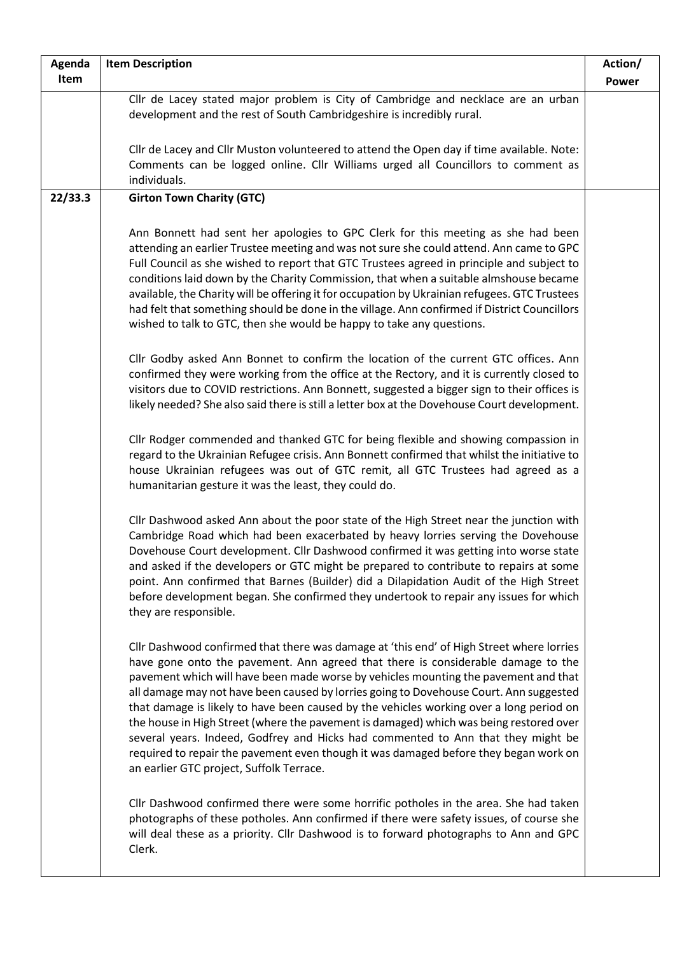| Agenda  | <b>Item Description</b>                                                                                                                                                                                                                                                                                                                                                                                                                                                                                                                                                                                                                                                                                                                                                    | Action/      |
|---------|----------------------------------------------------------------------------------------------------------------------------------------------------------------------------------------------------------------------------------------------------------------------------------------------------------------------------------------------------------------------------------------------------------------------------------------------------------------------------------------------------------------------------------------------------------------------------------------------------------------------------------------------------------------------------------------------------------------------------------------------------------------------------|--------------|
| Item    |                                                                                                                                                                                                                                                                                                                                                                                                                                                                                                                                                                                                                                                                                                                                                                            | <b>Power</b> |
|         | Cllr de Lacey stated major problem is City of Cambridge and necklace are an urban<br>development and the rest of South Cambridgeshire is incredibly rural.                                                                                                                                                                                                                                                                                                                                                                                                                                                                                                                                                                                                                 |              |
|         | Cllr de Lacey and Cllr Muston volunteered to attend the Open day if time available. Note:<br>Comments can be logged online. Cllr Williams urged all Councillors to comment as<br>individuals.                                                                                                                                                                                                                                                                                                                                                                                                                                                                                                                                                                              |              |
| 22/33.3 | <b>Girton Town Charity (GTC)</b>                                                                                                                                                                                                                                                                                                                                                                                                                                                                                                                                                                                                                                                                                                                                           |              |
|         | Ann Bonnett had sent her apologies to GPC Clerk for this meeting as she had been<br>attending an earlier Trustee meeting and was not sure she could attend. Ann came to GPC<br>Full Council as she wished to report that GTC Trustees agreed in principle and subject to<br>conditions laid down by the Charity Commission, that when a suitable almshouse became<br>available, the Charity will be offering it for occupation by Ukrainian refugees. GTC Trustees<br>had felt that something should be done in the village. Ann confirmed if District Councillors<br>wished to talk to GTC, then she would be happy to take any questions.                                                                                                                                |              |
|         | Cllr Godby asked Ann Bonnet to confirm the location of the current GTC offices. Ann<br>confirmed they were working from the office at the Rectory, and it is currently closed to<br>visitors due to COVID restrictions. Ann Bonnett, suggested a bigger sign to their offices is<br>likely needed? She also said there is still a letter box at the Dovehouse Court development.                                                                                                                                                                                                                                                                                                                                                                                           |              |
|         | Cllr Rodger commended and thanked GTC for being flexible and showing compassion in<br>regard to the Ukrainian Refugee crisis. Ann Bonnett confirmed that whilst the initiative to<br>house Ukrainian refugees was out of GTC remit, all GTC Trustees had agreed as a<br>humanitarian gesture it was the least, they could do.                                                                                                                                                                                                                                                                                                                                                                                                                                              |              |
|         | Cllr Dashwood asked Ann about the poor state of the High Street near the junction with<br>Cambridge Road which had been exacerbated by heavy lorries serving the Dovehouse<br>Dovehouse Court development. Cllr Dashwood confirmed it was getting into worse state<br>and asked if the developers or GTC might be prepared to contribute to repairs at some<br>point. Ann confirmed that Barnes (Builder) did a Dilapidation Audit of the High Street<br>before development began. She confirmed they undertook to repair any issues for which<br>they are responsible.                                                                                                                                                                                                    |              |
|         | Cllr Dashwood confirmed that there was damage at 'this end' of High Street where lorries<br>have gone onto the pavement. Ann agreed that there is considerable damage to the<br>pavement which will have been made worse by vehicles mounting the pavement and that<br>all damage may not have been caused by lorries going to Dovehouse Court. Ann suggested<br>that damage is likely to have been caused by the vehicles working over a long period on<br>the house in High Street (where the pavement is damaged) which was being restored over<br>several years. Indeed, Godfrey and Hicks had commented to Ann that they might be<br>required to repair the pavement even though it was damaged before they began work on<br>an earlier GTC project, Suffolk Terrace. |              |
|         | Cllr Dashwood confirmed there were some horrific potholes in the area. She had taken<br>photographs of these potholes. Ann confirmed if there were safety issues, of course she<br>will deal these as a priority. Cllr Dashwood is to forward photographs to Ann and GPC<br>Clerk.                                                                                                                                                                                                                                                                                                                                                                                                                                                                                         |              |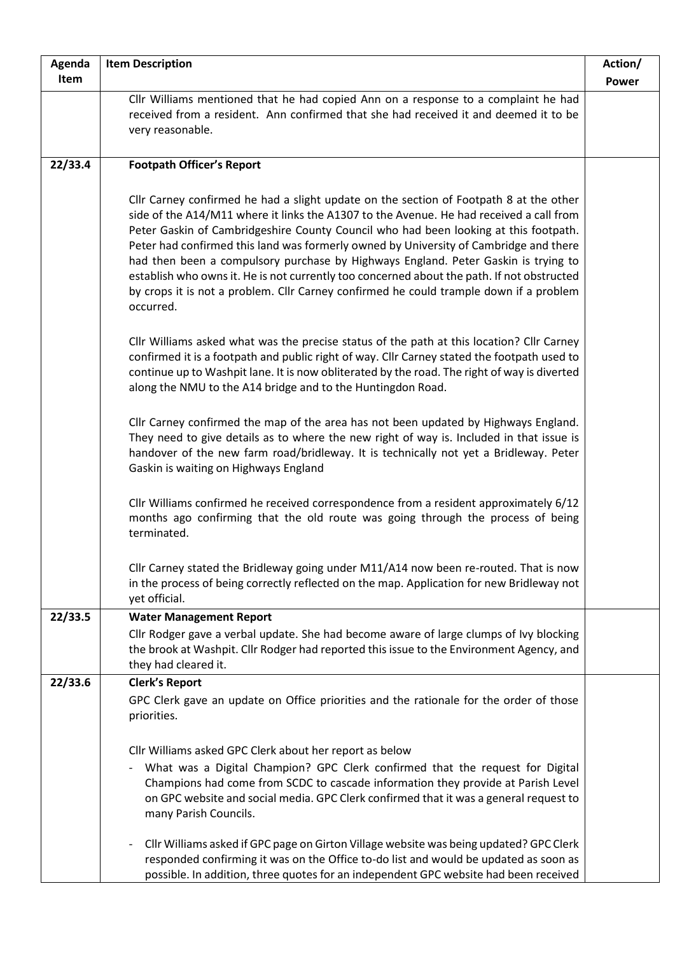| Agenda  | <b>Item Description</b>                                                                                                                                                                                                                                                                                                                                                                                                                                                                                                                                                                                                                                       | Action/      |
|---------|---------------------------------------------------------------------------------------------------------------------------------------------------------------------------------------------------------------------------------------------------------------------------------------------------------------------------------------------------------------------------------------------------------------------------------------------------------------------------------------------------------------------------------------------------------------------------------------------------------------------------------------------------------------|--------------|
| Item    |                                                                                                                                                                                                                                                                                                                                                                                                                                                                                                                                                                                                                                                               | <b>Power</b> |
|         | Cllr Williams mentioned that he had copied Ann on a response to a complaint he had<br>received from a resident. Ann confirmed that she had received it and deemed it to be<br>very reasonable.                                                                                                                                                                                                                                                                                                                                                                                                                                                                |              |
| 22/33.4 | <b>Footpath Officer's Report</b>                                                                                                                                                                                                                                                                                                                                                                                                                                                                                                                                                                                                                              |              |
|         | Cllr Carney confirmed he had a slight update on the section of Footpath 8 at the other<br>side of the A14/M11 where it links the A1307 to the Avenue. He had received a call from<br>Peter Gaskin of Cambridgeshire County Council who had been looking at this footpath.<br>Peter had confirmed this land was formerly owned by University of Cambridge and there<br>had then been a compulsory purchase by Highways England. Peter Gaskin is trying to<br>establish who owns it. He is not currently too concerned about the path. If not obstructed<br>by crops it is not a problem. Cllr Carney confirmed he could trample down if a problem<br>occurred. |              |
|         | Cllr Williams asked what was the precise status of the path at this location? Cllr Carney<br>confirmed it is a footpath and public right of way. Cllr Carney stated the footpath used to<br>continue up to Washpit lane. It is now obliterated by the road. The right of way is diverted<br>along the NMU to the A14 bridge and to the Huntingdon Road.                                                                                                                                                                                                                                                                                                       |              |
|         | Cllr Carney confirmed the map of the area has not been updated by Highways England.<br>They need to give details as to where the new right of way is. Included in that issue is<br>handover of the new farm road/bridleway. It is technically not yet a Bridleway. Peter<br>Gaskin is waiting on Highways England                                                                                                                                                                                                                                                                                                                                             |              |
|         | Cllr Williams confirmed he received correspondence from a resident approximately 6/12<br>months ago confirming that the old route was going through the process of being<br>terminated.                                                                                                                                                                                                                                                                                                                                                                                                                                                                       |              |
|         | Cllr Carney stated the Bridleway going under M11/A14 now been re-routed. That is now<br>in the process of being correctly reflected on the map. Application for new Bridleway not<br>yet official.                                                                                                                                                                                                                                                                                                                                                                                                                                                            |              |
| 22/33.5 | <b>Water Management Report</b>                                                                                                                                                                                                                                                                                                                                                                                                                                                                                                                                                                                                                                |              |
|         | Cllr Rodger gave a verbal update. She had become aware of large clumps of Ivy blocking<br>the brook at Washpit. Cllr Rodger had reported this issue to the Environment Agency, and<br>they had cleared it.                                                                                                                                                                                                                                                                                                                                                                                                                                                    |              |
| 22/33.6 | <b>Clerk's Report</b>                                                                                                                                                                                                                                                                                                                                                                                                                                                                                                                                                                                                                                         |              |
|         | GPC Clerk gave an update on Office priorities and the rationale for the order of those<br>priorities.                                                                                                                                                                                                                                                                                                                                                                                                                                                                                                                                                         |              |
|         | Cllr Williams asked GPC Clerk about her report as below                                                                                                                                                                                                                                                                                                                                                                                                                                                                                                                                                                                                       |              |
|         | What was a Digital Champion? GPC Clerk confirmed that the request for Digital<br>Champions had come from SCDC to cascade information they provide at Parish Level<br>on GPC website and social media. GPC Clerk confirmed that it was a general request to<br>many Parish Councils.                                                                                                                                                                                                                                                                                                                                                                           |              |
|         | Cllr Williams asked if GPC page on Girton Village website was being updated? GPC Clerk<br>responded confirming it was on the Office to-do list and would be updated as soon as<br>possible. In addition, three quotes for an independent GPC website had been received                                                                                                                                                                                                                                                                                                                                                                                        |              |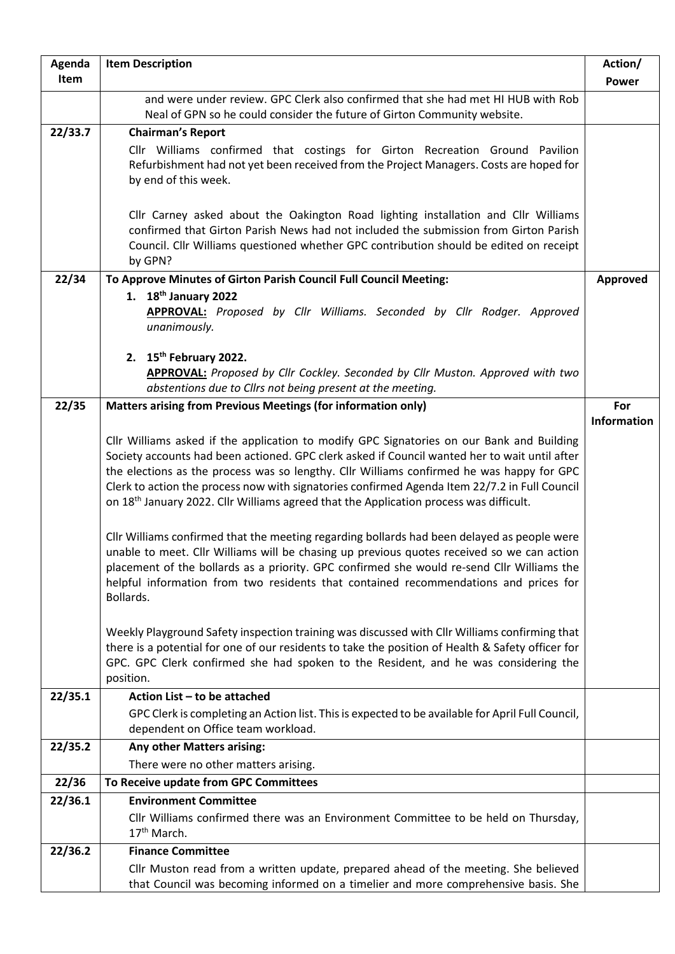| Agenda  | <b>Item Description</b>                                                                                                                                                                                                                                                                                                                                                                                                                                                                                                                                                                       | Action/            |
|---------|-----------------------------------------------------------------------------------------------------------------------------------------------------------------------------------------------------------------------------------------------------------------------------------------------------------------------------------------------------------------------------------------------------------------------------------------------------------------------------------------------------------------------------------------------------------------------------------------------|--------------------|
| Item    |                                                                                                                                                                                                                                                                                                                                                                                                                                                                                                                                                                                               | <b>Power</b>       |
|         | and were under review. GPC Clerk also confirmed that she had met HI HUB with Rob<br>Neal of GPN so he could consider the future of Girton Community website.                                                                                                                                                                                                                                                                                                                                                                                                                                  |                    |
| 22/33.7 | <b>Chairman's Report</b>                                                                                                                                                                                                                                                                                                                                                                                                                                                                                                                                                                      |                    |
|         | Cllr Williams confirmed that costings for Girton Recreation Ground Pavilion<br>Refurbishment had not yet been received from the Project Managers. Costs are hoped for<br>by end of this week.                                                                                                                                                                                                                                                                                                                                                                                                 |                    |
|         | Cllr Carney asked about the Oakington Road lighting installation and Cllr Williams<br>confirmed that Girton Parish News had not included the submission from Girton Parish<br>Council. Cllr Williams questioned whether GPC contribution should be edited on receipt<br>by GPN?                                                                                                                                                                                                                                                                                                               |                    |
| 22/34   | To Approve Minutes of Girton Parish Council Full Council Meeting:                                                                                                                                                                                                                                                                                                                                                                                                                                                                                                                             | Approved           |
|         | 1. $18th$ January 2022<br>APPROVAL: Proposed by Cllr Williams. Seconded by Cllr Rodger. Approved<br>unanimously.                                                                                                                                                                                                                                                                                                                                                                                                                                                                              |                    |
|         | 2. $15th$ February 2022.<br><b>APPROVAL:</b> Proposed by Cllr Cockley. Seconded by Cllr Muston. Approved with two<br>abstentions due to Cllrs not being present at the meeting.                                                                                                                                                                                                                                                                                                                                                                                                               |                    |
| 22/35   | Matters arising from Previous Meetings (for information only)                                                                                                                                                                                                                                                                                                                                                                                                                                                                                                                                 | For                |
|         | Cllr Williams asked if the application to modify GPC Signatories on our Bank and Building<br>Society accounts had been actioned. GPC clerk asked if Council wanted her to wait until after<br>the elections as the process was so lengthy. Cllr Williams confirmed he was happy for GPC<br>Clerk to action the process now with signatories confirmed Agenda Item 22/7.2 in Full Council<br>on 18 <sup>th</sup> January 2022. Cllr Williams agreed that the Application process was difficult.<br>Cllr Williams confirmed that the meeting regarding bollards had been delayed as people were | <b>Information</b> |
|         | unable to meet. Cllr Williams will be chasing up previous quotes received so we can action<br>placement of the bollards as a priority. GPC confirmed she would re-send Cllr Williams the<br>helpful information from two residents that contained recommendations and prices for<br>Bollards.                                                                                                                                                                                                                                                                                                 |                    |
|         | Weekly Playground Safety inspection training was discussed with Cllr Williams confirming that<br>there is a potential for one of our residents to take the position of Health & Safety officer for<br>GPC. GPC Clerk confirmed she had spoken to the Resident, and he was considering the<br>position.                                                                                                                                                                                                                                                                                        |                    |
| 22/35.1 | Action List - to be attached                                                                                                                                                                                                                                                                                                                                                                                                                                                                                                                                                                  |                    |
|         | GPC Clerk is completing an Action list. This is expected to be available for April Full Council,<br>dependent on Office team workload.                                                                                                                                                                                                                                                                                                                                                                                                                                                        |                    |
| 22/35.2 | <b>Any other Matters arising:</b>                                                                                                                                                                                                                                                                                                                                                                                                                                                                                                                                                             |                    |
|         | There were no other matters arising.                                                                                                                                                                                                                                                                                                                                                                                                                                                                                                                                                          |                    |
| 22/36   | To Receive update from GPC Committees                                                                                                                                                                                                                                                                                                                                                                                                                                                                                                                                                         |                    |
| 22/36.1 | <b>Environment Committee</b><br>Cllr Williams confirmed there was an Environment Committee to be held on Thursday,<br>17 <sup>th</sup> March.                                                                                                                                                                                                                                                                                                                                                                                                                                                 |                    |
| 22/36.2 | <b>Finance Committee</b>                                                                                                                                                                                                                                                                                                                                                                                                                                                                                                                                                                      |                    |
|         | Cllr Muston read from a written update, prepared ahead of the meeting. She believed<br>that Council was becoming informed on a timelier and more comprehensive basis. She                                                                                                                                                                                                                                                                                                                                                                                                                     |                    |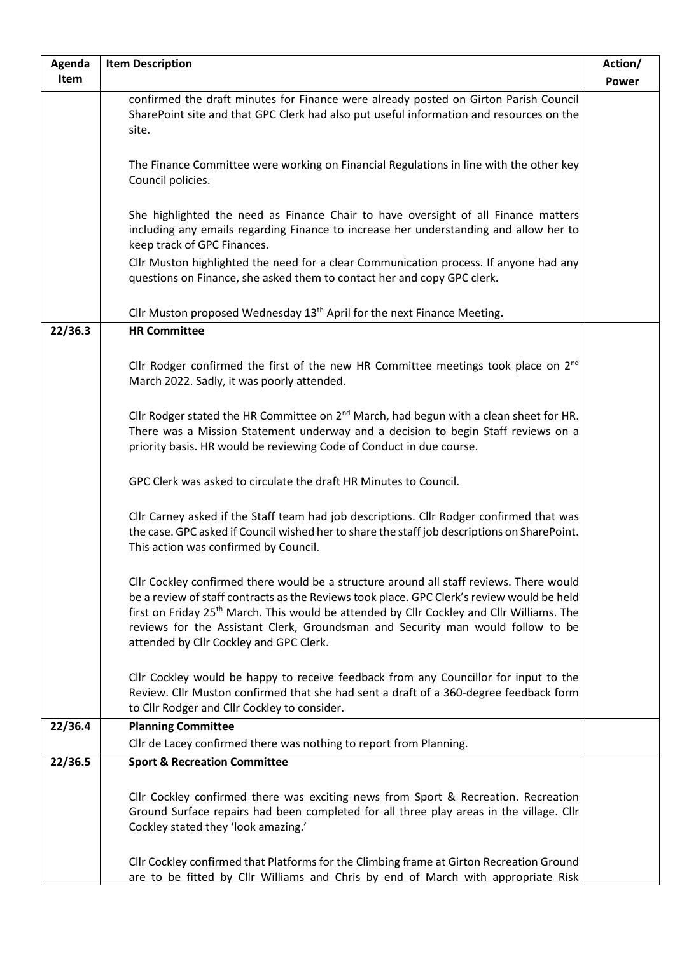| Agenda  | <b>Item Description</b>                                                                                                                                                                                                                                                                                                                                                                                                      | Action/      |
|---------|------------------------------------------------------------------------------------------------------------------------------------------------------------------------------------------------------------------------------------------------------------------------------------------------------------------------------------------------------------------------------------------------------------------------------|--------------|
| Item    |                                                                                                                                                                                                                                                                                                                                                                                                                              | <b>Power</b> |
|         | confirmed the draft minutes for Finance were already posted on Girton Parish Council<br>SharePoint site and that GPC Clerk had also put useful information and resources on the<br>site.                                                                                                                                                                                                                                     |              |
|         | The Finance Committee were working on Financial Regulations in line with the other key<br>Council policies.                                                                                                                                                                                                                                                                                                                  |              |
|         | She highlighted the need as Finance Chair to have oversight of all Finance matters<br>including any emails regarding Finance to increase her understanding and allow her to<br>keep track of GPC Finances.                                                                                                                                                                                                                   |              |
|         | Cllr Muston highlighted the need for a clear Communication process. If anyone had any<br>questions on Finance, she asked them to contact her and copy GPC clerk.                                                                                                                                                                                                                                                             |              |
|         | Cllr Muston proposed Wednesday 13 <sup>th</sup> April for the next Finance Meeting.                                                                                                                                                                                                                                                                                                                                          |              |
| 22/36.3 | <b>HR Committee</b>                                                                                                                                                                                                                                                                                                                                                                                                          |              |
|         | Cllr Rodger confirmed the first of the new HR Committee meetings took place on $2nd$<br>March 2022. Sadly, it was poorly attended.                                                                                                                                                                                                                                                                                           |              |
|         | Cllr Rodger stated the HR Committee on $2^{nd}$ March, had begun with a clean sheet for HR.<br>There was a Mission Statement underway and a decision to begin Staff reviews on a<br>priority basis. HR would be reviewing Code of Conduct in due course.                                                                                                                                                                     |              |
|         | GPC Clerk was asked to circulate the draft HR Minutes to Council.                                                                                                                                                                                                                                                                                                                                                            |              |
|         | Cllr Carney asked if the Staff team had job descriptions. Cllr Rodger confirmed that was<br>the case. GPC asked if Council wished her to share the staff job descriptions on SharePoint.<br>This action was confirmed by Council.                                                                                                                                                                                            |              |
|         | Cllr Cockley confirmed there would be a structure around all staff reviews. There would<br>be a review of staff contracts as the Reviews took place. GPC Clerk's review would be held<br>first on Friday 25 <sup>th</sup> March. This would be attended by Cllr Cockley and Cllr Williams. The<br>reviews for the Assistant Clerk, Groundsman and Security man would follow to be<br>attended by Cllr Cockley and GPC Clerk. |              |
|         | Cllr Cockley would be happy to receive feedback from any Councillor for input to the<br>Review. Cllr Muston confirmed that she had sent a draft of a 360-degree feedback form<br>to Cllr Rodger and Cllr Cockley to consider.                                                                                                                                                                                                |              |
| 22/36.4 | <b>Planning Committee</b>                                                                                                                                                                                                                                                                                                                                                                                                    |              |
|         | Cllr de Lacey confirmed there was nothing to report from Planning.                                                                                                                                                                                                                                                                                                                                                           |              |
| 22/36.5 | <b>Sport &amp; Recreation Committee</b>                                                                                                                                                                                                                                                                                                                                                                                      |              |
|         | Cllr Cockley confirmed there was exciting news from Sport & Recreation. Recreation<br>Ground Surface repairs had been completed for all three play areas in the village. Cllr<br>Cockley stated they 'look amazing.'                                                                                                                                                                                                         |              |
|         | Cllr Cockley confirmed that Platforms for the Climbing frame at Girton Recreation Ground<br>are to be fitted by Cllr Williams and Chris by end of March with appropriate Risk                                                                                                                                                                                                                                                |              |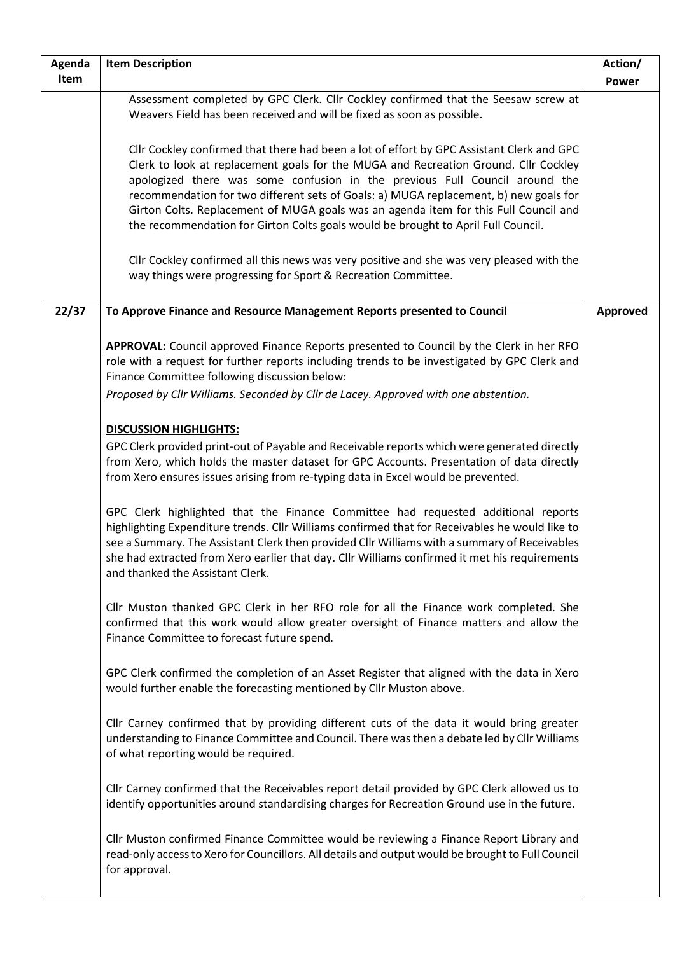| Agenda | <b>Item Description</b>                                                                                                                                                                                                                                                                                                                                                                                                                                                                                                               | Action/  |
|--------|---------------------------------------------------------------------------------------------------------------------------------------------------------------------------------------------------------------------------------------------------------------------------------------------------------------------------------------------------------------------------------------------------------------------------------------------------------------------------------------------------------------------------------------|----------|
| Item   |                                                                                                                                                                                                                                                                                                                                                                                                                                                                                                                                       | Power    |
|        | Assessment completed by GPC Clerk. Cllr Cockley confirmed that the Seesaw screw at<br>Weavers Field has been received and will be fixed as soon as possible.                                                                                                                                                                                                                                                                                                                                                                          |          |
|        | Cllr Cockley confirmed that there had been a lot of effort by GPC Assistant Clerk and GPC<br>Clerk to look at replacement goals for the MUGA and Recreation Ground. Cllr Cockley<br>apologized there was some confusion in the previous Full Council around the<br>recommendation for two different sets of Goals: a) MUGA replacement, b) new goals for<br>Girton Colts. Replacement of MUGA goals was an agenda item for this Full Council and<br>the recommendation for Girton Colts goals would be brought to April Full Council. |          |
|        | Cllr Cockley confirmed all this news was very positive and she was very pleased with the<br>way things were progressing for Sport & Recreation Committee.                                                                                                                                                                                                                                                                                                                                                                             |          |
| 22/37  | To Approve Finance and Resource Management Reports presented to Council                                                                                                                                                                                                                                                                                                                                                                                                                                                               | Approved |
|        | APPROVAL: Council approved Finance Reports presented to Council by the Clerk in her RFO<br>role with a request for further reports including trends to be investigated by GPC Clerk and<br>Finance Committee following discussion below:<br>Proposed by Cllr Williams. Seconded by Cllr de Lacey. Approved with one abstention.                                                                                                                                                                                                       |          |
|        | <b>DISCUSSION HIGHLIGHTS:</b><br>GPC Clerk provided print-out of Payable and Receivable reports which were generated directly<br>from Xero, which holds the master dataset for GPC Accounts. Presentation of data directly<br>from Xero ensures issues arising from re-typing data in Excel would be prevented.                                                                                                                                                                                                                       |          |
|        | GPC Clerk highlighted that the Finance Committee had requested additional reports<br>highlighting Expenditure trends. Cllr Williams confirmed that for Receivables he would like to<br>see a Summary. The Assistant Clerk then provided Cllr Williams with a summary of Receivables<br>she had extracted from Xero earlier that day. Cllr Williams confirmed it met his requirements<br>and thanked the Assistant Clerk.                                                                                                              |          |
|        | Cllr Muston thanked GPC Clerk in her RFO role for all the Finance work completed. She<br>confirmed that this work would allow greater oversight of Finance matters and allow the<br>Finance Committee to forecast future spend.                                                                                                                                                                                                                                                                                                       |          |
|        | GPC Clerk confirmed the completion of an Asset Register that aligned with the data in Xero<br>would further enable the forecasting mentioned by Cllr Muston above.                                                                                                                                                                                                                                                                                                                                                                    |          |
|        | Cllr Carney confirmed that by providing different cuts of the data it would bring greater<br>understanding to Finance Committee and Council. There was then a debate led by Cllr Williams<br>of what reporting would be required.                                                                                                                                                                                                                                                                                                     |          |
|        | Cllr Carney confirmed that the Receivables report detail provided by GPC Clerk allowed us to<br>identify opportunities around standardising charges for Recreation Ground use in the future.                                                                                                                                                                                                                                                                                                                                          |          |
|        | Cllr Muston confirmed Finance Committee would be reviewing a Finance Report Library and<br>read-only access to Xero for Councillors. All details and output would be brought to Full Council<br>for approval.                                                                                                                                                                                                                                                                                                                         |          |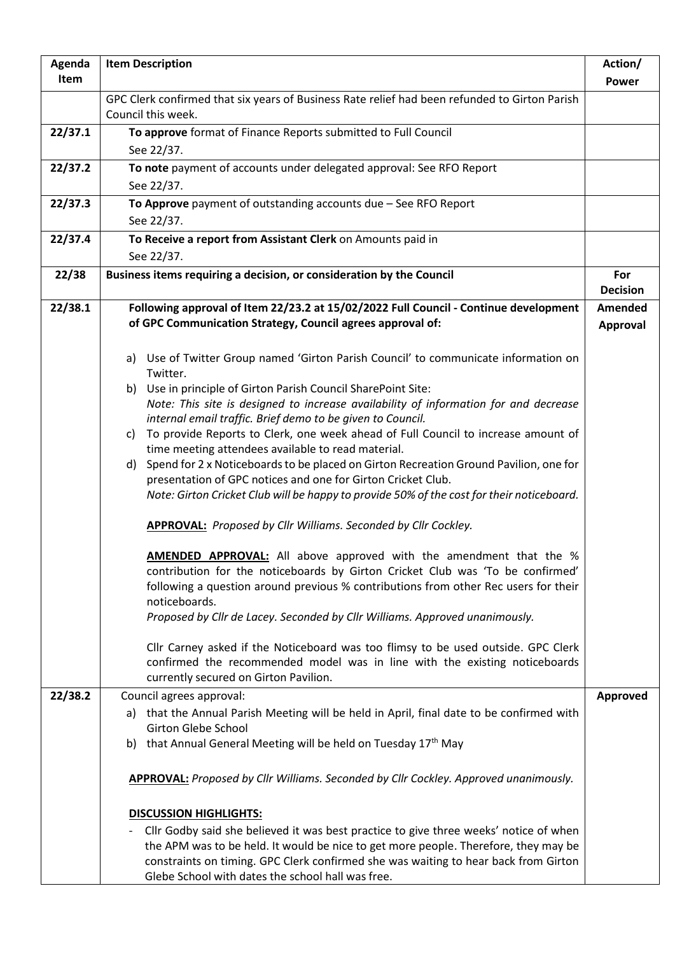| Agenda  | <b>Item Description</b>                                                                                                                                                                                                                                                                                                                            | Action/                |
|---------|----------------------------------------------------------------------------------------------------------------------------------------------------------------------------------------------------------------------------------------------------------------------------------------------------------------------------------------------------|------------------------|
| Item    |                                                                                                                                                                                                                                                                                                                                                    | Power                  |
|         | GPC Clerk confirmed that six years of Business Rate relief had been refunded to Girton Parish<br>Council this week.                                                                                                                                                                                                                                |                        |
| 22/37.1 | To approve format of Finance Reports submitted to Full Council                                                                                                                                                                                                                                                                                     |                        |
|         | See 22/37.                                                                                                                                                                                                                                                                                                                                         |                        |
| 22/37.2 | To note payment of accounts under delegated approval: See RFO Report                                                                                                                                                                                                                                                                               |                        |
|         | See 22/37.                                                                                                                                                                                                                                                                                                                                         |                        |
| 22/37.3 | To Approve payment of outstanding accounts due $-$ See RFO Report                                                                                                                                                                                                                                                                                  |                        |
|         | See 22/37.                                                                                                                                                                                                                                                                                                                                         |                        |
| 22/37.4 | To Receive a report from Assistant Clerk on Amounts paid in<br>See 22/37.                                                                                                                                                                                                                                                                          |                        |
| 22/38   | Business items requiring a decision, or consideration by the Council                                                                                                                                                                                                                                                                               | For<br><b>Decision</b> |
| 22/38.1 | Following approval of Item 22/23.2 at 15/02/2022 Full Council - Continue development<br>of GPC Communication Strategy, Council agrees approval of:                                                                                                                                                                                                 | Amended<br>Approval    |
|         | a) Use of Twitter Group named 'Girton Parish Council' to communicate information on<br>Twitter.                                                                                                                                                                                                                                                    |                        |
|         | Use in principle of Girton Parish Council SharePoint Site:<br>b)                                                                                                                                                                                                                                                                                   |                        |
|         | Note: This site is designed to increase availability of information for and decrease                                                                                                                                                                                                                                                               |                        |
|         | internal email traffic. Brief demo to be given to Council.<br>To provide Reports to Clerk, one week ahead of Full Council to increase amount of<br>C)                                                                                                                                                                                              |                        |
|         | time meeting attendees available to read material.                                                                                                                                                                                                                                                                                                 |                        |
|         | Spend for 2 x Noticeboards to be placed on Girton Recreation Ground Pavilion, one for<br>d)                                                                                                                                                                                                                                                        |                        |
|         | presentation of GPC notices and one for Girton Cricket Club.                                                                                                                                                                                                                                                                                       |                        |
|         | Note: Girton Cricket Club will be happy to provide 50% of the cost for their noticeboard.                                                                                                                                                                                                                                                          |                        |
|         | <b>APPROVAL:</b> Proposed by Cllr Williams. Seconded by Cllr Cockley.                                                                                                                                                                                                                                                                              |                        |
|         | <b>AMENDED APPROVAL:</b> All above approved with the amendment that the %<br>contribution for the noticeboards by Girton Cricket Club was 'To be confirmed'<br>following a question around previous % contributions from other Rec users for their<br>noticeboards.<br>Proposed by Cllr de Lacey. Seconded by Cllr Williams. Approved unanimously. |                        |
|         | Cllr Carney asked if the Noticeboard was too flimsy to be used outside. GPC Clerk<br>confirmed the recommended model was in line with the existing noticeboards<br>currently secured on Girton Pavilion.                                                                                                                                           |                        |
| 22/38.2 | Council agrees approval:                                                                                                                                                                                                                                                                                                                           | Approved               |
|         | a) that the Annual Parish Meeting will be held in April, final date to be confirmed with<br><b>Girton Glebe School</b>                                                                                                                                                                                                                             |                        |
|         | b) that Annual General Meeting will be held on Tuesday 17th May                                                                                                                                                                                                                                                                                    |                        |
|         | <b>APPROVAL:</b> Proposed by Cllr Williams. Seconded by Cllr Cockley. Approved unanimously.                                                                                                                                                                                                                                                        |                        |
|         | <b>DISCUSSION HIGHLIGHTS:</b>                                                                                                                                                                                                                                                                                                                      |                        |
|         | Cllr Godby said she believed it was best practice to give three weeks' notice of when<br>the APM was to be held. It would be nice to get more people. Therefore, they may be<br>constraints on timing. GPC Clerk confirmed she was waiting to hear back from Girton<br>Glebe School with dates the school hall was free.                           |                        |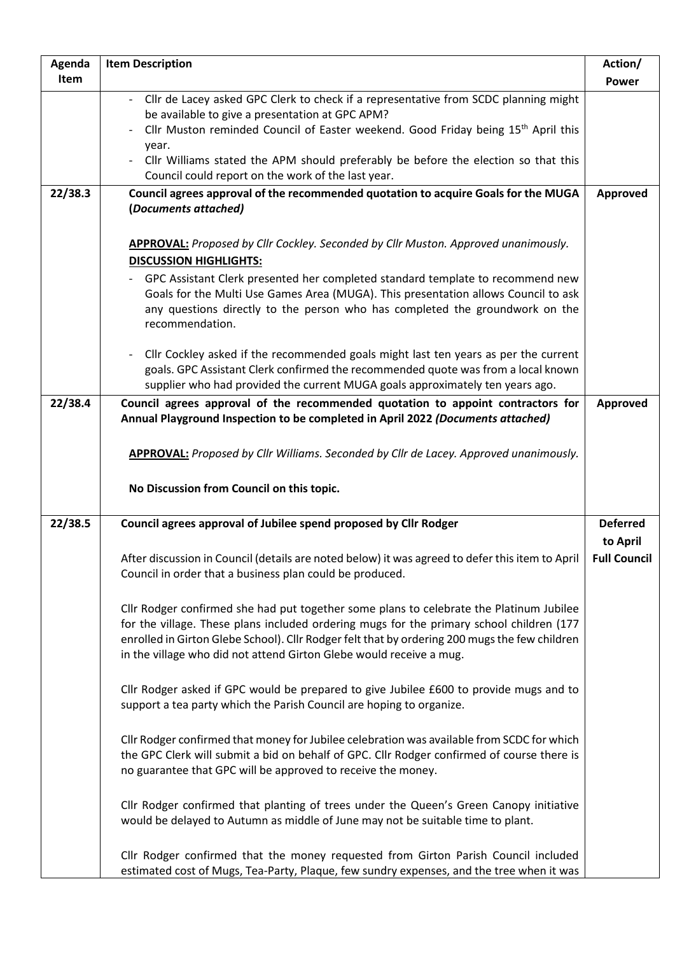| Agenda  | <b>Item Description</b>                                                                                                                                                                                                                                                                                                                                                                               | Action/                     |
|---------|-------------------------------------------------------------------------------------------------------------------------------------------------------------------------------------------------------------------------------------------------------------------------------------------------------------------------------------------------------------------------------------------------------|-----------------------------|
| Item    |                                                                                                                                                                                                                                                                                                                                                                                                       | <b>Power</b>                |
|         | Cllr de Lacey asked GPC Clerk to check if a representative from SCDC planning might<br>be available to give a presentation at GPC APM?<br>Cllr Muston reminded Council of Easter weekend. Good Friday being 15 <sup>th</sup> April this<br>year.<br>Cllr Williams stated the APM should preferably be before the election so that this<br>Council could report on the work of the last year.          |                             |
| 22/38.3 | Council agrees approval of the recommended quotation to acquire Goals for the MUGA<br>(Documents attached)                                                                                                                                                                                                                                                                                            | Approved                    |
|         | <b>APPROVAL:</b> Proposed by Cllr Cockley. Seconded by Cllr Muston. Approved unanimously.<br><b>DISCUSSION HIGHLIGHTS:</b><br>GPC Assistant Clerk presented her completed standard template to recommend new<br>Goals for the Multi Use Games Area (MUGA). This presentation allows Council to ask<br>any questions directly to the person who has completed the groundwork on the<br>recommendation. |                             |
|         | Cllr Cockley asked if the recommended goals might last ten years as per the current<br>goals. GPC Assistant Clerk confirmed the recommended quote was from a local known<br>supplier who had provided the current MUGA goals approximately ten years ago.                                                                                                                                             |                             |
| 22/38.4 | Council agrees approval of the recommended quotation to appoint contractors for<br>Annual Playground Inspection to be completed in April 2022 (Documents attached)                                                                                                                                                                                                                                    | Approved                    |
|         | <b>APPROVAL:</b> Proposed by Cllr Williams. Seconded by Cllr de Lacey. Approved unanimously.<br>No Discussion from Council on this topic.                                                                                                                                                                                                                                                             |                             |
| 22/38.5 | Council agrees approval of Jubilee spend proposed by Cllr Rodger                                                                                                                                                                                                                                                                                                                                      | <b>Deferred</b><br>to April |
|         | After discussion in Council (details are noted below) it was agreed to defer this item to April<br>Council in order that a business plan could be produced.                                                                                                                                                                                                                                           | <b>Full Council</b>         |
|         | Cllr Rodger confirmed she had put together some plans to celebrate the Platinum Jubilee<br>for the village. These plans included ordering mugs for the primary school children (177<br>enrolled in Girton Glebe School). Cllr Rodger felt that by ordering 200 mugs the few children<br>in the village who did not attend Girton Glebe would receive a mug.                                           |                             |
|         | Cllr Rodger asked if GPC would be prepared to give Jubilee £600 to provide mugs and to<br>support a tea party which the Parish Council are hoping to organize.                                                                                                                                                                                                                                        |                             |
|         | Cllr Rodger confirmed that money for Jubilee celebration was available from SCDC for which<br>the GPC Clerk will submit a bid on behalf of GPC. Cllr Rodger confirmed of course there is<br>no guarantee that GPC will be approved to receive the money.                                                                                                                                              |                             |
|         | Cllr Rodger confirmed that planting of trees under the Queen's Green Canopy initiative<br>would be delayed to Autumn as middle of June may not be suitable time to plant.                                                                                                                                                                                                                             |                             |
|         | Cllr Rodger confirmed that the money requested from Girton Parish Council included<br>estimated cost of Mugs, Tea-Party, Plaque, few sundry expenses, and the tree when it was                                                                                                                                                                                                                        |                             |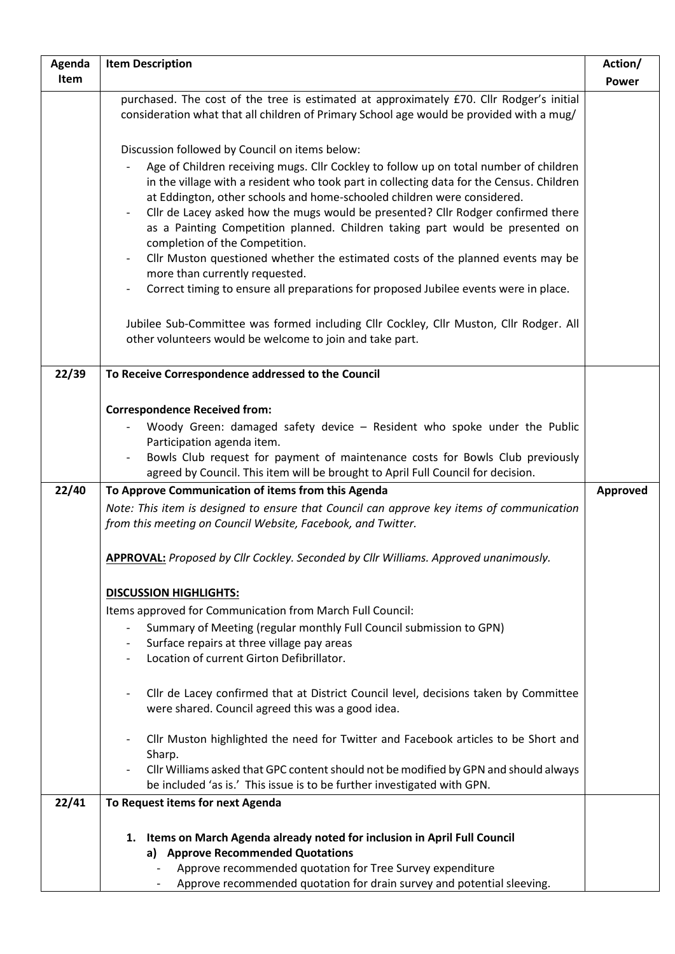| Agenda | <b>Item Description</b>                                                                                                                                                                                                                                                                                            | Action/      |
|--------|--------------------------------------------------------------------------------------------------------------------------------------------------------------------------------------------------------------------------------------------------------------------------------------------------------------------|--------------|
| Item   |                                                                                                                                                                                                                                                                                                                    | <b>Power</b> |
|        | purchased. The cost of the tree is estimated at approximately £70. Cllr Rodger's initial<br>consideration what that all children of Primary School age would be provided with a mug/                                                                                                                               |              |
|        | Discussion followed by Council on items below:<br>Age of Children receiving mugs. Cllr Cockley to follow up on total number of children<br>in the village with a resident who took part in collecting data for the Census. Children<br>at Eddington, other schools and home-schooled children were considered.     |              |
|        | Cllr de Lacey asked how the mugs would be presented? Cllr Rodger confirmed there<br>$\overline{\phantom{a}}$<br>as a Painting Competition planned. Children taking part would be presented on<br>completion of the Competition.<br>Cllr Muston questioned whether the estimated costs of the planned events may be |              |
|        | more than currently requested.<br>Correct timing to ensure all preparations for proposed Jubilee events were in place.<br>$\overline{\phantom{a}}$                                                                                                                                                                 |              |
|        | Jubilee Sub-Committee was formed including Cllr Cockley, Cllr Muston, Cllr Rodger. All<br>other volunteers would be welcome to join and take part.                                                                                                                                                                 |              |
| 22/39  | To Receive Correspondence addressed to the Council                                                                                                                                                                                                                                                                 |              |
|        |                                                                                                                                                                                                                                                                                                                    |              |
|        | <b>Correspondence Received from:</b><br>Woody Green: damaged safety device - Resident who spoke under the Public                                                                                                                                                                                                   |              |
|        | Participation agenda item.                                                                                                                                                                                                                                                                                         |              |
|        | Bowls Club request for payment of maintenance costs for Bowls Club previously<br>agreed by Council. This item will be brought to April Full Council for decision.                                                                                                                                                  |              |
| 22/40  | To Approve Communication of items from this Agenda                                                                                                                                                                                                                                                                 | Approved     |
|        | Note: This item is designed to ensure that Council can approve key items of communication<br>from this meeting on Council Website, Facebook, and Twitter.                                                                                                                                                          |              |
|        | APPROVAL: Proposed by Cllr Cockley. Seconded by Cllr Williams. Approved unanimously.                                                                                                                                                                                                                               |              |
|        | <b>DISCUSSION HIGHLIGHTS:</b>                                                                                                                                                                                                                                                                                      |              |
|        | Items approved for Communication from March Full Council:                                                                                                                                                                                                                                                          |              |
|        | Summary of Meeting (regular monthly Full Council submission to GPN)<br>Surface repairs at three village pay areas<br>Location of current Girton Defibrillator.                                                                                                                                                     |              |
|        | Cllr de Lacey confirmed that at District Council level, decisions taken by Committee<br>were shared. Council agreed this was a good idea.                                                                                                                                                                          |              |
|        | Cllr Muston highlighted the need for Twitter and Facebook articles to be Short and<br>Sharp.                                                                                                                                                                                                                       |              |
|        | Cllr Williams asked that GPC content should not be modified by GPN and should always<br>be included 'as is.' This issue is to be further investigated with GPN.                                                                                                                                                    |              |
| 22/41  | To Request items for next Agenda                                                                                                                                                                                                                                                                                   |              |
|        | 1. Items on March Agenda already noted for inclusion in April Full Council<br>a) Approve Recommended Quotations<br>Approve recommended quotation for Tree Survey expenditure<br>Approve recommended quotation for drain survey and potential sleeving.                                                             |              |